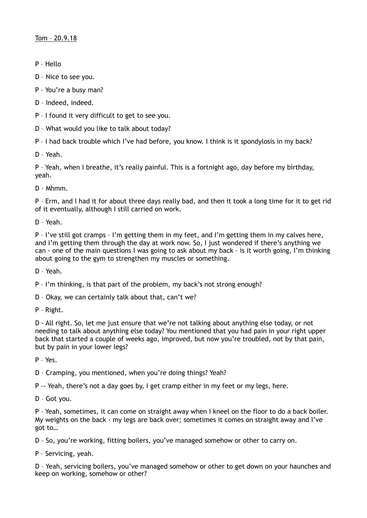- P Hello
- D Nice to see you.
- P You're a busy man?
- D Indeed, indeed.
- P I found it very difficult to get to see you.
- D What would you like to talk about today?

P – I had back trouble which I've had before, you know. I think is it spondylosis in my back?

D – Yeah.

P – Yeah, when I breathe, it's really painful. This is a fortnight ago, day before my birthday, yeah.

D – Mhmm.

P – Erm, and I had it for about three days really bad, and then it took a long time for it to get rid of it eventually, although I still carried on work.

D – Yeah.

P – I've still got cramps – I'm getting them in my feet, and I'm getting them in my calves here, and I'm getting them through the day at work now. So, I just wondered if there's anything we can - one of the main questions I was going to ask about my back – is it worth going, I'm thinking about going to the gym to strengthen my muscles or something.

D – Yeah.

P – I'm thinking, is that part of the problem, my back's not strong enough?

D – Okay, we can certainly talk about that, can't we?

P – Right.

D - All right. So, let me just ensure that we're not talking about anything else today, or not needing to talk about anything else today? You mentioned that you had pain in your right upper back that started a couple of weeks ago, improved, but now you're troubled, not by that pain, but by pain in your lower legs?

P – Yes.

D – Cramping, you mentioned, when you're doing things? Yeah?

P -- Yeah, there's not a day goes by, I get cramp either in my feet or my legs, here.

D – Got you.

P – Yeah, sometimes, it can come on straight away when I kneel on the floor to do a back boiler. My weights on the back - my legs are back over; sometimes it comes on straight away and I've got to…

D – So, you're working, fitting boilers, you've managed somehow or other to carry on.

P – Servicing, yeah.

D – Yeah, servicing boilers, you've managed somehow or other to get down on your haunches and keep on working, somehow or other?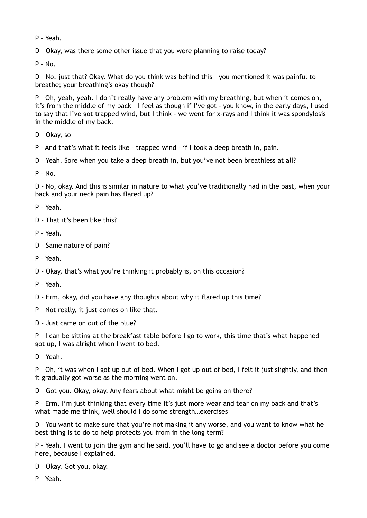P – Yeah.

D – Okay, was there some other issue that you were planning to raise today?

 $P - No.$ 

D – No, just that? Okay. What do you think was behind this – you mentioned it was painful to breathe; your breathing's okay though?

P – Oh, yeah, yeah. I don't really have any problem with my breathing, but when it comes on, it's from the middle of my back – I feel as though if I've got - you know, in the early days, I used to say that I've got trapped wind, but I think - we went for x-rays and I think it was spondylosis in the middle of my back.

D – Okay, so—

P – And that's what it feels like – trapped wind – if I took a deep breath in, pain.

D – Yeah. Sore when you take a deep breath in, but you've not been breathless at all?

 $P - N_0$ 

D – No, okay. And this is similar in nature to what you've traditionally had in the past, when your back and your neck pain has flared up?

P – Yeah.

D – That it's been like this?

P – Yeah.

- D Same nature of pain?
- P Yeah.

D – Okay, that's what you're thinking it probably is, on this occasion?

P – Yeah.

D – Erm, okay, did you have any thoughts about why it flared up this time?

P – Not really, it just comes on like that.

D – Just came on out of the blue?

P – I can be sitting at the breakfast table before I go to work, this time that's what happened – I got up, I was alright when I went to bed.

D – Yeah.

P – Oh, it was when I got up out of bed. When I got up out of bed, I felt it just slightly, and then it gradually got worse as the morning went on.

D – Got you. Okay, okay. Any fears about what might be going on there?

P – Erm, I'm just thinking that every time it's just more wear and tear on my back and that's what made me think, well should I do some strength…exercises

D – You want to make sure that you're not making it any worse, and you want to know what he best thing is to do to help protects you from in the long term?

P – Yeah. I went to join the gym and he said, you'll have to go and see a doctor before you come here, because I explained.

D – Okay. Got you, okay.

P – Yeah.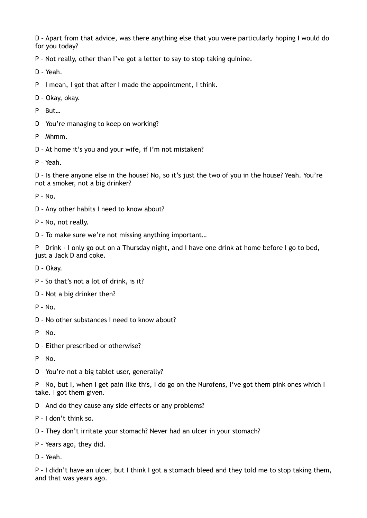D – Apart from that advice, was there anything else that you were particularly hoping I would do for you today?

P – Not really, other than I've got a letter to say to stop taking quinine.

D – Yeah.

P – I mean, I got that after I made the appointment, I think.

D – Okay, okay.

P – But…

D – You're managing to keep on working?

P – Mhmm.

D – At home it's you and your wife, if I'm not mistaken?

P – Yeah.

D – Is there anyone else in the house? No, so it's just the two of you in the house? Yeah. You're not a smoker, not a big drinker?

P – No.

- D Any other habits I need to know about?
- P No, not really.

D – To make sure we're not missing anything important…

P – Drink - I only go out on a Thursday night, and I have one drink at home before I go to bed, just a Jack D and coke.

D – Okay.

P – So that's not a lot of drink, is it?

D – Not a big drinker then?

P – No.

D – No other substances I need to know about?

P – No.

D – Either prescribed or otherwise?

P – No.

D – You're not a big tablet user, generally?

P – No, but I, when I get pain like this, I do go on the Nurofens, I've got them pink ones which I take. I got them given.

D – And do they cause any side effects or any problems?

P – I don't think so.

D – They don't irritate your stomach? Never had an ulcer in your stomach?

P – Years ago, they did.

D – Yeah.

P - I didn't have an ulcer, but I think I got a stomach bleed and they told me to stop taking them, and that was years ago.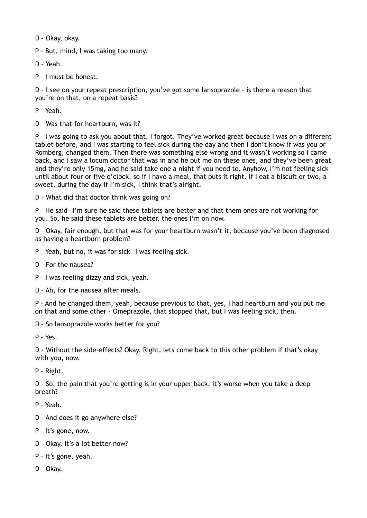D – Okay, okay.

P – But, mind, I was taking too many.

D – Yeah.

P – I must be honest.

D – I see on your repeat prescription, you've got some lansoprazole – is there a reason that you're on that, on a repeat basis?

P – Yeah.

D – Was that for heartburn, was it?

P – I was going to ask you about that, I forgot. They've worked great because I was on a different tablet before, and I was starting to feel sick during the day and then I don't know if was you or Romberg, changed them. Then there was something else wrong and it wasn't working so I came back, and I saw a locum doctor that was in and he put me on these ones, and they've been great and they're only 15mg, and he said take one a night if you need to. Anyhow, I'm not feeling sick until about four or five o'clock, so if I have a meal, that puts it right. If I eat a biscuit or two, a sweet, during the day if I'm sick, I think that's alright.

D – What did that doctor think was going on?

P – He said—I'm sure he said these tablets are better and that them ones are not working for you. So, he said these tablets are better, the ones I'm on now.

D – Okay, fair enough, but that was for your heartburn wasn't it, because you've been diagnosed as having a heartburn problem?

- P Yeah, but no, it was for sick—I was feeling sick.
- D For the nausea?
- P I was feeling dizzy and sick, yeah.
- D Ah, for the nausea after meals.

P – And he changed them, yeah, because previous to that, yes, I had heartburn and you put me on that and some other - Omeprazole, that stopped that, but I was feeling sick, then.

D – So lansoprazole works better for you?

P – Yes.

D – Without the side-effects? Okay. Right, lets come back to this other problem if that's okay with you, now.

P – Right.

D – So, the pain that you're getting is in your upper back, it's worse when you take a deep breath?

P – Yeah.

- D And does it go anywhere else?
- P It's gone, now.
- D Okay, it's a lot better now?
- P It's gone, yeah.
- D Okay.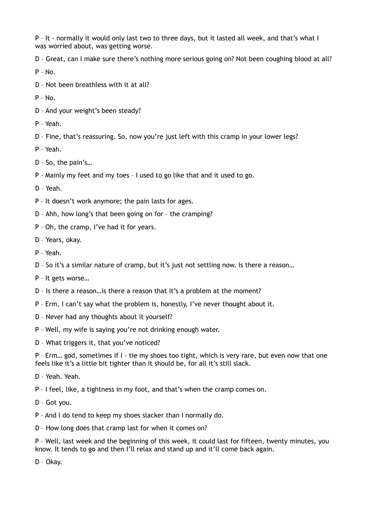P – It - normally it would only last two to three days, but it lasted all week, and that's what I was worried about, was getting worse.

D – Great, can I make sure there's nothing more serious going on? Not been coughing blood at all?

 $P - NQ$ .

D – Not been breathless with it at all?

 $P - No.$ 

- D And your weight's been steady?
- P Yeah.

D – Fine, that's reassuring. So, now you're just left with this cramp in your lower legs?

- P Yeah.
- D So, the pain's…

P – Mainly my feet and my toes – I used to go like that and it used to go.

D – Yeah.

P – It doesn't work anymore; the pain lasts for ages.

- D Ahh, how long's that been going on for the cramping?
- P Oh, the cramp, I've had it for years.
- D Years, okay.
- P Yeah.

D – So it's a similar nature of cramp, but it's just not settling now. Is there a reason…

- P It gets worse…
- D Is there a reason…is there a reason that it's a problem at the moment?
- P Erm, I can't say what the problem is, honestly, I've never thought about it.
- D Never had any thoughts about it yourself?
- P Well, my wife is saying you're not drinking enough water.
- D What triggers it, that you've noticed?

P – Erm… god, sometimes if I - tie my shoes too tight, which is very rare, but even now that one feels like it's a little bit tighter than it should be, for all it's still slack.

- D Yeah. Yeah.
- P I feel, like, a tightness in my foot, and that's when the cramp comes on.
- D Got you.
- P And I do tend to keep my shoes slacker than I normally do.
- D How long does that cramp last for when it comes on?

P – Well, last week and the beginning of this week, it could last for fifteen, twenty minutes, you know. It tends to go and then I'll relax and stand up and it'll come back again.

D – Okay.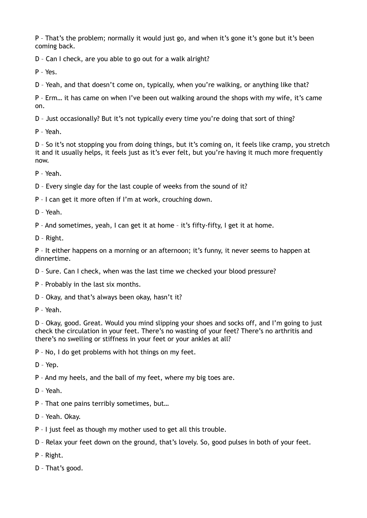P – That's the problem; normally it would just go, and when it's gone it's gone but it's been coming back.

D – Can I check, are you able to go out for a walk alright?

P – Yes.

D – Yeah, and that doesn't come on, typically, when you're walking, or anything like that?

P – Erm… it has came on when I've been out walking around the shops with my wife, it's came on.

D – Just occasionally? But it's not typically every time you're doing that sort of thing?

P – Yeah.

D – So it's not stopping you from doing things, but it's coming on, it feels like cramp, you stretch it and it usually helps, it feels just as it's ever felt, but you're having it much more frequently now.

P – Yeah.

D – Every single day for the last couple of weeks from the sound of it?

P – I can get it more often if I'm at work, crouching down.

D – Yeah.

P – And sometimes, yeah, I can get it at home – it's fifty-fifty, I get it at home.

D – Right.

P – It either happens on a morning or an afternoon; it's funny, it never seems to happen at dinnertime.

D – Sure. Can I check, when was the last time we checked your blood pressure?

P – Probably in the last six months.

D – Okay, and that's always been okay, hasn't it?

P – Yeah.

D – Okay, good. Great. Would you mind slipping your shoes and socks off, and I'm going to just check the circulation in your feet. There's no wasting of your feet? There's no arthritis and there's no swelling or stiffness in your feet or your ankles at all?

P – No, I do get problems with hot things on my feet.

D – Yep.

P – And my heels, and the ball of my feet, where my big toes are.

D – Yeah.

P – That one pains terribly sometimes, but…

D – Yeah. Okay.

P – I just feel as though my mother used to get all this trouble.

D – Relax your feet down on the ground, that's lovely. So, good pulses in both of your feet.

P – Right.

D – That's good.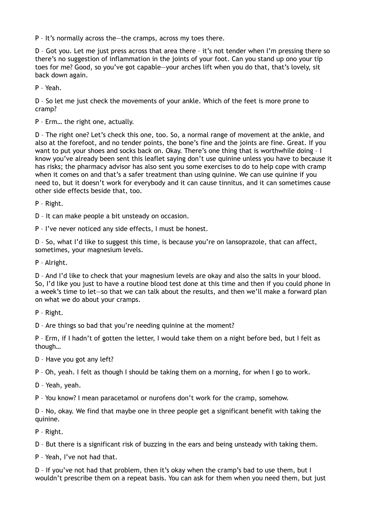P – It's normally across the—the cramps, across my toes there.

D – Got you. Let me just press across that area there – it's not tender when I'm pressing there so there's no suggestion of inflammation in the joints of your foot. Can you stand up ono your tip toes for me? Good, so you've got capable—your arches lift when you do that, that's lovely, sit back down again.

P – Yeah.

D – So let me just check the movements of your ankle. Which of the feet is more prone to cramp?

P – Erm… the right one, actually.

D – The right one? Let's check this one, too. So, a normal range of movement at the ankle, and also at the forefoot, and no tender points, the bone's fine and the joints are fine. Great. If you want to put your shoes and socks back on. Okay. There's one thing that is worthwhile doing – I know you've already been sent this leaflet saying don't use quinine unless you have to because it has risks; the pharmacy advisor has also sent you some exercises to do to help cope with cramp when it comes on and that's a safer treatment than using quinine. We can use quinine if you need to, but it doesn't work for everybody and it can cause tinnitus, and it can sometimes cause other side effects beside that, too.

P – Right.

D – It can make people a bit unsteady on occasion.

P – I've never noticed any side effects, I must be honest.

D – So, what I'd like to suggest this time, is because you're on lansoprazole, that can affect, sometimes, your magnesium levels.

P – Alright.

D – And I'd like to check that your magnesium levels are okay and also the salts in your blood. So, I'd like you just to have a routine blood test done at this time and then if you could phone in a week's time to let—so that we can talk about the results, and then we'll make a forward plan on what we do about your cramps.

P – Right.

D – Are things so bad that you're needing quinine at the moment?

P – Erm, if I hadn't of gotten the letter, I would take them on a night before bed, but I felt as though…

D – Have you got any left?

P – Oh, yeah. I felt as though I should be taking them on a morning, for when I go to work.

D – Yeah, yeah.

P – You know? I mean paracetamol or nurofens don't work for the cramp, somehow.

D – No, okay. We find that maybe one in three people get a significant benefit with taking the quinine.

P – Right.

D – But there is a significant risk of buzzing in the ears and being unsteady with taking them.

P – Yeah, I've not had that.

D – If you've not had that problem, then it's okay when the cramp's bad to use them, but I wouldn't prescribe them on a repeat basis. You can ask for them when you need them, but just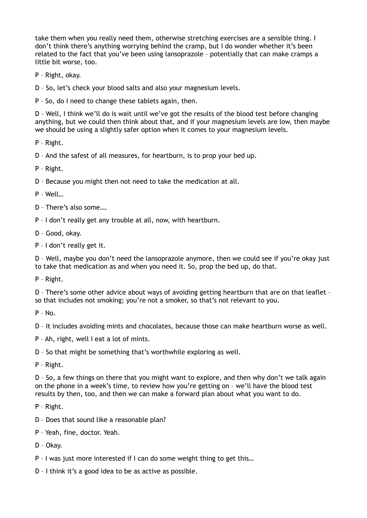take them when you really need them, otherwise stretching exercises are a sensible thing. I don't think there's anything worrying behind the cramp, but I do wonder whether it's been related to the fact that you've been using lansoprazole – potentially that can make cramps a little bit worse, too.

- P Right, okay.
- D So, let's check your blood salts and also your magnesium levels.

P – So, do I need to change these tablets again, then.

D – Well, I think we'll do is wait until we've got the results of the blood test before changing anything, but we could then think about that, and if your magnesium levels are low, then maybe we should be using a slightly safer option when it comes to your magnesium levels.

P – Right.

D – And the safest of all measures, for heartburn, is to prop your bed up.

P – Right.

D – Because you might then not need to take the medication at all.

P – Well…

D – There's also some….

P – I don't really get any trouble at all, now, with heartburn.

D – Good, okay.

P – I don't really get it.

D – Well, maybe you don't need the lansoprazole anymore, then we could see if you're okay just to take that medication as and when you need it. So, prop the bed up, do that.

P – Right.

D – There's some other advice about ways of avoiding getting heartburn that are on that leaflet – so that includes not smoking; you're not a smoker, so that's not relevant to you.

 $P - No$ .

D – It includes avoiding mints and chocolates, because those can make heartburn worse as well.

P – Ah, right, well I eat a lot of mints.

D – So that might be something that's worthwhile exploring as well.

P – Right.

D – So, a few things on there that you might want to explore, and then why don't we talk again on the phone in a week's time, to review how you're getting on – we'll have the blood test results by then, too, and then we can make a forward plan about what you want to do.

P – Right.

- D Does that sound like a reasonable plan?
- P Yeah, fine, doctor. Yeah.

D – Okay.

- P I was just more interested if I can do some weight thing to get this…
- D I think it's a good idea to be as active as possible.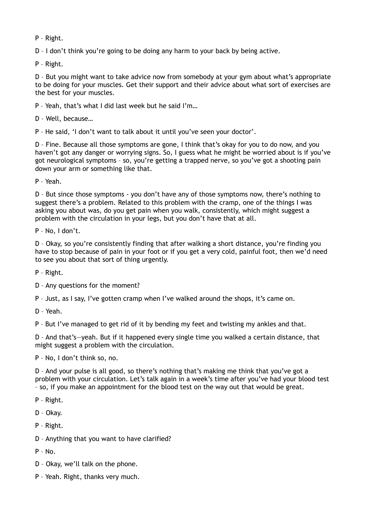P – Right.

D – I don't think you're going to be doing any harm to your back by being active.

P – Right.

D – But you might want to take advice now from somebody at your gym about what's appropriate to be doing for your muscles. Get their support and their advice about what sort of exercises are the best for your muscles.

P – Yeah, that's what I did last week but he said I'm…

D – Well, because…

P – He said, 'I don't want to talk about it until you've seen your doctor'.

D – Fine. Because all those symptoms are gone, I think that's okay for you to do now, and you haven't got any danger or worrying signs. So, I guess what he might be worried about is if you've got neurological symptoms – so, you're getting a trapped nerve, so you've got a shooting pain down your arm or something like that.

P – Yeah.

D – But since those symptoms - you don't have any of those symptoms now, there's nothing to suggest there's a problem. Related to this problem with the cramp, one of the things I was asking you about was, do you get pain when you walk, consistently, which might suggest a problem with the circulation in your legs, but you don't have that at all.

P – No, I don't.

D – Okay, so you're consistently finding that after walking a short distance, you're finding you have to stop because of pain in your foot or if you get a very cold, painful foot, then we'd need to see you about that sort of thing urgently.

P – Right.

D – Any questions for the moment?

P – Just, as I say, I've gotten cramp when I've walked around the shops, it's came on.

D – Yeah.

P – But I've managed to get rid of it by bending my feet and twisting my ankles and that.

D – And that's—yeah. But if it happened every single time you walked a certain distance, that might suggest a problem with the circulation.

P – No, I don't think so, no.

D – And your pulse is all good, so there's nothing that's making me think that you've got a problem with your circulation. Let's talk again in a week's time after you've had your blood test – so, if you make an appointment for the blood test on the way out that would be great.

- P Right.
- D Okay.
- P Right.
- D Anything that you want to have clarified?
- $P N_0$
- D Okay, we'll talk on the phone.
- P Yeah. Right, thanks very much.